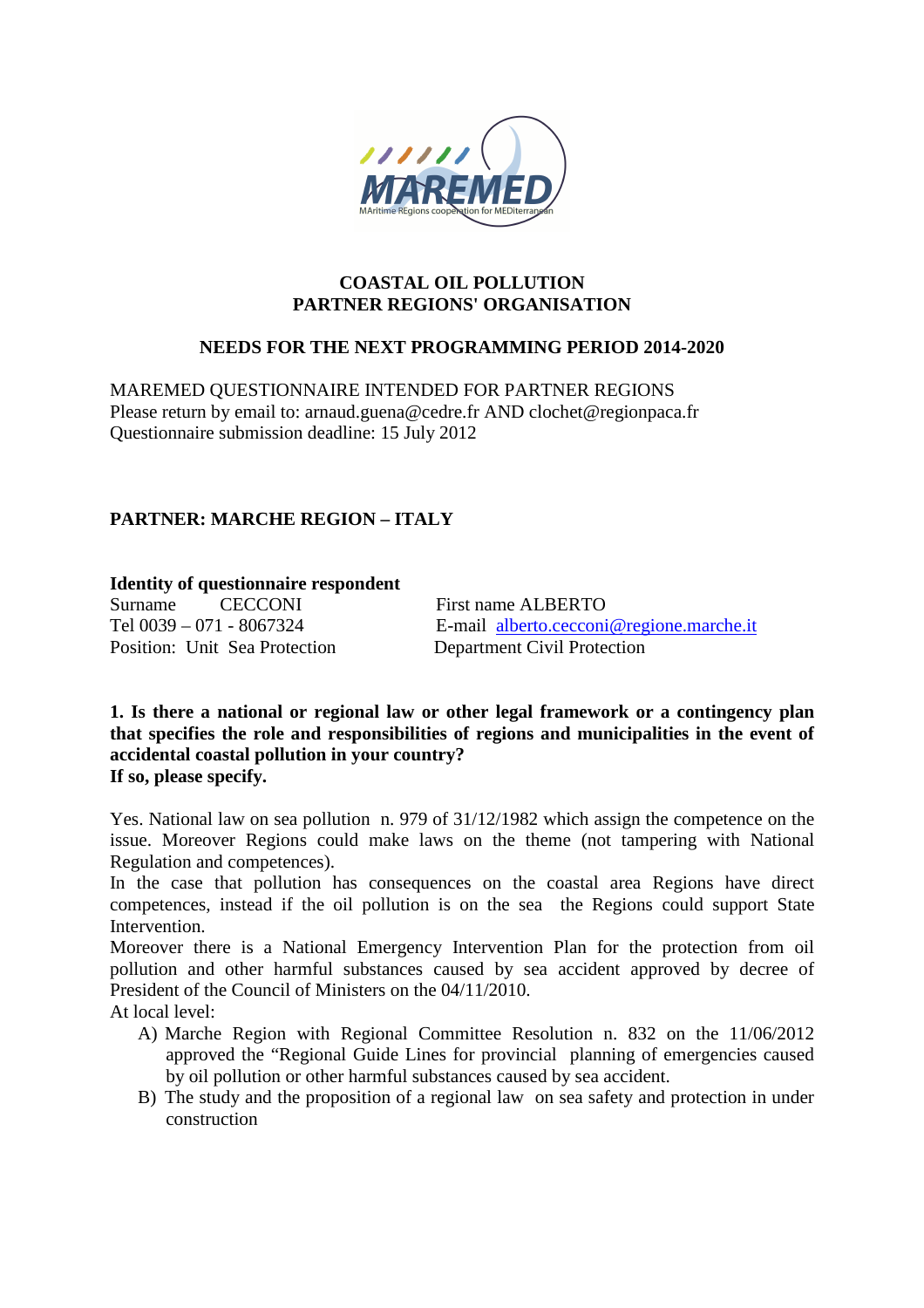

#### **COASTAL OIL POLLUTION PARTNER REGIONS' ORGANISATION**

#### **NEEDS FOR THE NEXT PROGRAMMING PERIOD 2014-2020**

MAREMED QUESTIONNAIRE INTENDED FOR PARTNER REGIONS Please return by email to: arnaud.guena@cedre.fr AND clochet@regionpaca.fr Questionnaire submission deadline: 15 July 2012

# **PARTNER: MARCHE REGION – ITALY**

# **Identity of questionnaire respondent<br>Surname CECCONI**

Surname CECCONI First name ALBERTO Position: Unit Sea Protection Department Civil Protection

Tel 0039 – 071 - 8067324 E-mail alberto.cecconi@regione.marche.it

**1. Is there a national or regional law or other legal framework or a contingency plan that specifies the role and responsibilities of regions and municipalities in the event of accidental coastal pollution in your country? If so, please specify.** 

Yes. National law on sea pollution n. 979 of 31/12/1982 which assign the competence on the issue. Moreover Regions could make laws on the theme (not tampering with National Regulation and competences).

In the case that pollution has consequences on the coastal area Regions have direct competences, instead if the oil pollution is on the sea the Regions could support State Intervention.

Moreover there is a National Emergency Intervention Plan for the protection from oil pollution and other harmful substances caused by sea accident approved by decree of President of the Council of Ministers on the 04/11/2010.

At local level:

- A) Marche Region with Regional Committee Resolution n. 832 on the 11/06/2012 approved the "Regional Guide Lines for provincial planning of emergencies caused by oil pollution or other harmful substances caused by sea accident.
- B) The study and the proposition of a regional law on sea safety and protection in under construction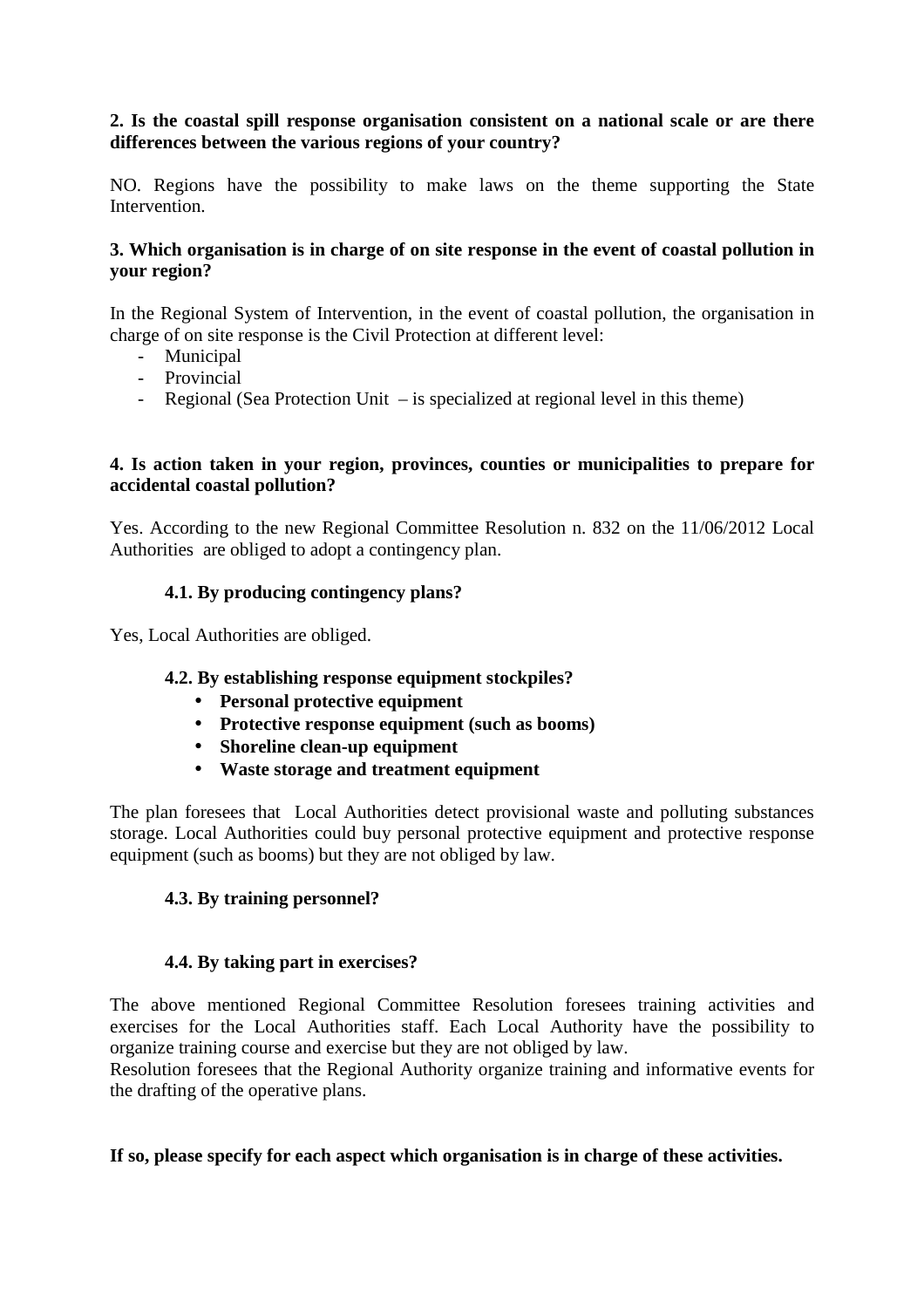## **2. Is the coastal spill response organisation consistent on a national scale or are there differences between the various regions of your country?**

NO. Regions have the possibility to make laws on the theme supporting the State Intervention.

#### **3. Which organisation is in charge of on site response in the event of coastal pollution in your region?**

In the Regional System of Intervention, in the event of coastal pollution, the organisation in charge of on site response is the Civil Protection at different level:

- Municipal
- Provincial
- Regional (Sea Protection Unit is specialized at regional level in this theme)

#### **4. Is action taken in your region, provinces, counties or municipalities to prepare for accidental coastal pollution?**

Yes. According to the new Regional Committee Resolution n. 832 on the 11/06/2012 Local Authorities are obliged to adopt a contingency plan.

## **4.1. By producing contingency plans?**

Yes, Local Authorities are obliged.

## **4.2. By establishing response equipment stockpiles?**

- **Personal protective equipment**
- **Protective response equipment (such as booms)**
- **Shoreline clean-up equipment**
- **Waste storage and treatment equipment**

The plan foresees that Local Authorities detect provisional waste and polluting substances storage. Local Authorities could buy personal protective equipment and protective response equipment (such as booms) but they are not obliged by law.

## **4.3. By training personnel?**

## **4.4. By taking part in exercises?**

The above mentioned Regional Committee Resolution foresees training activities and exercises for the Local Authorities staff. Each Local Authority have the possibility to organize training course and exercise but they are not obliged by law.

Resolution foresees that the Regional Authority organize training and informative events for the drafting of the operative plans.

## **If so, please specify for each aspect which organisation is in charge of these activities.**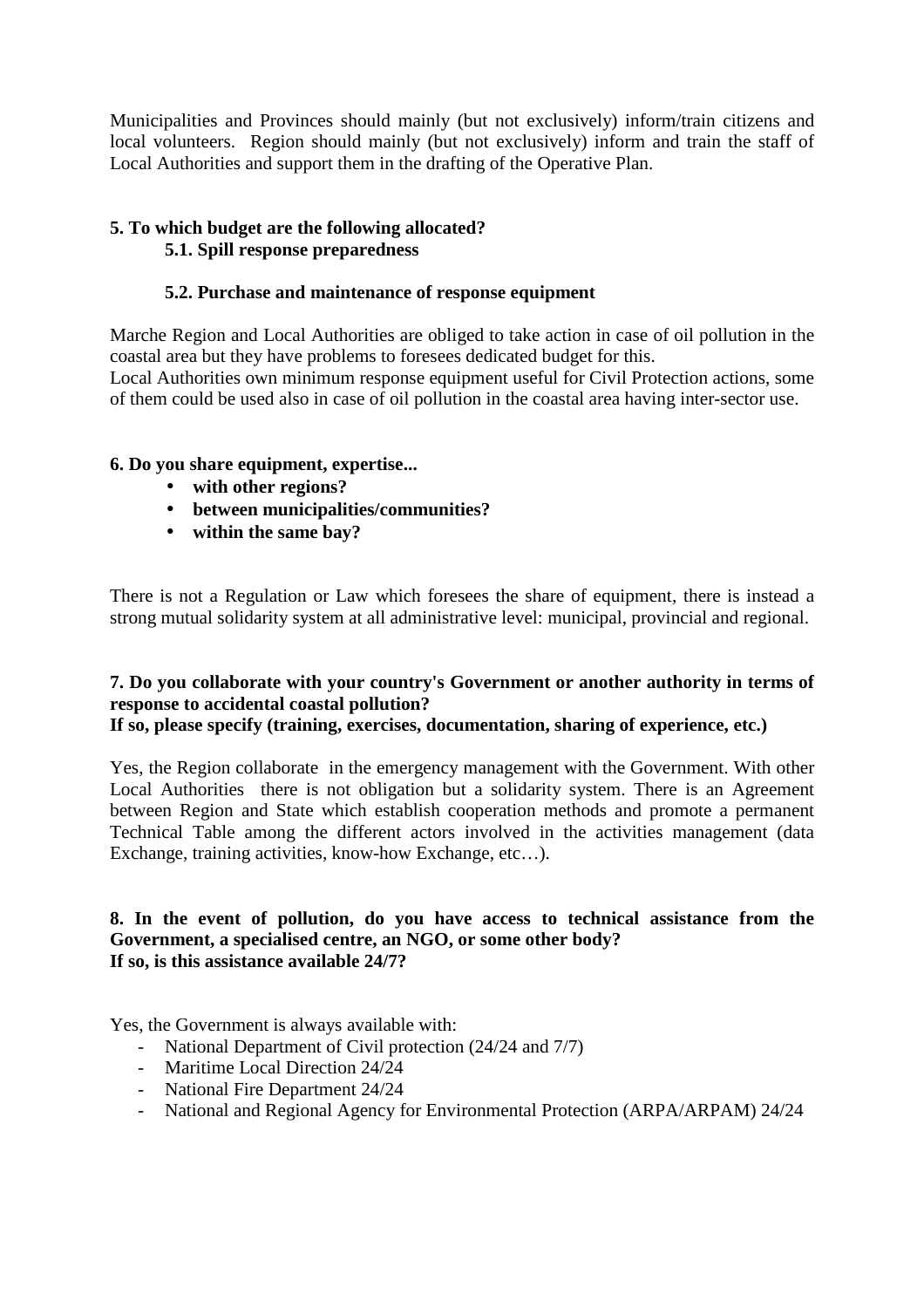Municipalities and Provinces should mainly (but not exclusively) inform/train citizens and local volunteers. Region should mainly (but not exclusively) inform and train the staff of Local Authorities and support them in the drafting of the Operative Plan.

# **5. To which budget are the following allocated? 5.1. Spill response preparedness**

# **5.2. Purchase and maintenance of response equipment**

Marche Region and Local Authorities are obliged to take action in case of oil pollution in the coastal area but they have problems to foresees dedicated budget for this. Local Authorities own minimum response equipment useful for Civil Protection actions, some of them could be used also in case of oil pollution in the coastal area having inter-sector use.

## **6. Do you share equipment, expertise...**

- **with other regions?**
- **between municipalities/communities?**
- **within the same bay?**

There is not a Regulation or Law which foresees the share of equipment, there is instead a strong mutual solidarity system at all administrative level: municipal, provincial and regional.

## **7. Do you collaborate with your country's Government or another authority in terms of response to accidental coastal pollution?**

## **If so, please specify (training, exercises, documentation, sharing of experience, etc.)**

Yes, the Region collaborate in the emergency management with the Government. With other Local Authorities there is not obligation but a solidarity system. There is an Agreement between Region and State which establish cooperation methods and promote a permanent Technical Table among the different actors involved in the activities management (data Exchange, training activities, know-how Exchange, etc…).

#### **8. In the event of pollution, do you have access to technical assistance from the Government, a specialised centre, an NGO, or some other body? If so, is this assistance available 24/7?**

Yes, the Government is always available with:

- National Department of Civil protection (24/24 and 7/7)
- Maritime Local Direction 24/24
- National Fire Department 24/24
- National and Regional Agency for Environmental Protection (ARPA/ARPAM) 24/24